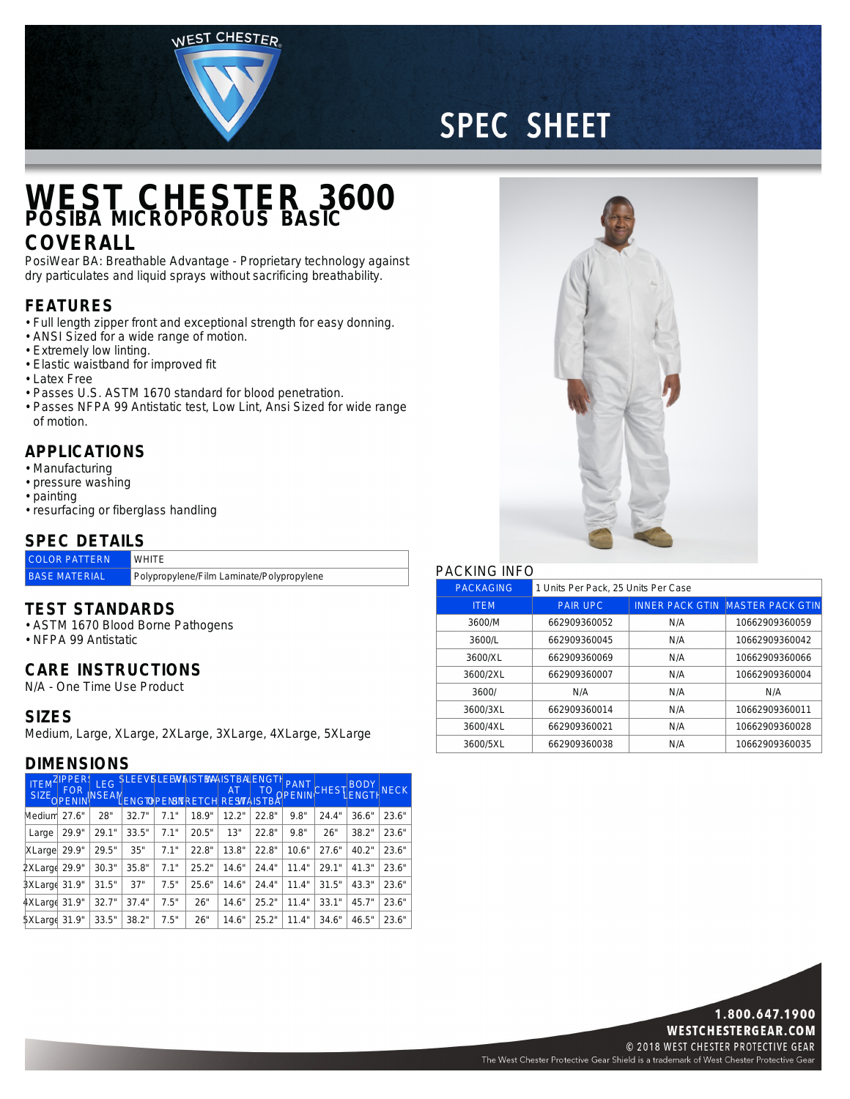WEST CHESTER

# **SPEC SHEET**

### **WEST CHESTER 3600 POSIBA MICROPOROUS BASIC**

### **COVERALL**

PosiWear BA: Breathable Advantage - Proprietary technology against dry particulates and liquid sprays without sacrificing breathability.

#### **FEATURES**

- Full length zipper front and exceptional strength for easy donning.
- ANSI Sized for <sup>a</sup> wide range of motion.
- Extremely low linting.
- Elastic waistband for improved fit
- Latex Free
- Passes U.S. ASTM 1670 standard for blood penetration.
- Passes NFPA 99 Antistatic test, Low Lint, Ansi Sized for wide range of motion.

#### **APPLICATIONS**

- Manufacturing
- pressure washing
- painting
- resurfacing or fiberglass handling

#### **SPEC DETAILS**

| <b>COLOR PATTERN</b> | <b>WHITE</b>                              |
|----------------------|-------------------------------------------|
| <b>BASE MATERIAL</b> | Polypropylene/Film Laminate/Polypropylene |

#### **TEST STANDARDS**

- ASTM 1670 Blood Borne Pathogens
- NFPA 99 Antistatic

#### **CARE INSTRUCTIONS**

N/A - One Time Use Product

#### **SIZES**

Medium, Large, XLarge, 2XLarge, 3XLarge, 4XLarge, 5XLarge

#### **DIMENSIONS**

| <b>ITEM</b><br>SIZE <sub>OPENIN</sub> | ZIPPER!<br><b>FOR</b> | <b>NSEAN</b> | LEG SLEEVSLEEWAISTBAILSTBALENGTH<br>LENGTEPENSNRETCH RESVAISTBA |      |       |       | TO    | <b>OPENIN</b> |       | CHEST BODY | <b>NECK</b> |
|---------------------------------------|-----------------------|--------------|-----------------------------------------------------------------|------|-------|-------|-------|---------------|-------|------------|-------------|
| Medium 27.6"                          |                       | 28"          | 32.7"                                                           | 71"  | 18.9" | 12.2" | 22.8" | 9.8"          | 24.4" | 36.6"      | 23.6"       |
| Large                                 | 29.9"                 | 29.1"        | 33.5"                                                           | 7.1" | 20.5" | 13"   | 22.8" | 9.8"          | 26"   | 38.2"      | 23.6"       |
| XLarge                                | 29.9"                 | 29.5"        | 35"                                                             | 7.1" | 22.8" | 13.8" | 22.8" | 10.6"         | 27.6" | 40.2"      | 23.6"       |
| 2XLarge 29.9"                         |                       | 30.3"        | 35.8"                                                           | 7.1" | 25.2" | 14.6" | 24.4" | 11.4"         | 29.1" | 41.3"      | 23.6"       |
| 3XLarge 31.9"                         |                       | 31.5"        | 37"                                                             | 7.5" | 25.6" | 14.6" | 24.4" | 11.4"         | 31.5" | 43.3"      | 23.6"       |
| 4XLarge 31.9"                         |                       | 32.7"        | 37.4"                                                           | 7.5" | 26"   | 14.6" | 25.2" | 11.4"         | 33.1" | 45.7"      | 23.6"       |
| 5XLarge 31.9"                         |                       | 33.5"        | 38.2"                                                           | 7.5" | 26"   | 14.6" | 25.2" | 11.4"         | 34.6" | 46.5"      | 23.6"       |



#### PACKING INFO

| <b>PACKAGING</b> | 1 Units Per Pack, 25 Units Per Case |     |                                         |  |  |  |
|------------------|-------------------------------------|-----|-----------------------------------------|--|--|--|
| <b>ITEM</b>      | <b>PAIR UPC</b>                     |     | <b>INNER PACK GTIN MASTER PACK GTIN</b> |  |  |  |
| 3600/M           | 662909360052                        | N/A | 10662909360059                          |  |  |  |
| 3600/L           | 662909360045                        | N/A | 10662909360042                          |  |  |  |
| 3600/XL          | 662909360069                        | N/A | 10662909360066                          |  |  |  |
| 3600/2XL         | 662909360007                        | N/A | 10662909360004                          |  |  |  |
| 3600/            | N/A                                 | N/A | N/A                                     |  |  |  |
| 3600/3XL         | 662909360014                        | N/A | 10662909360011                          |  |  |  |
| 3600/4XL         | 662909360021                        | N/A | 10662909360028                          |  |  |  |
| 3600/5XL         | 662909360038                        | N/A | 10662909360035                          |  |  |  |



The West Chester Protective Gear Shield is a trademark of West Chester Protective Gear